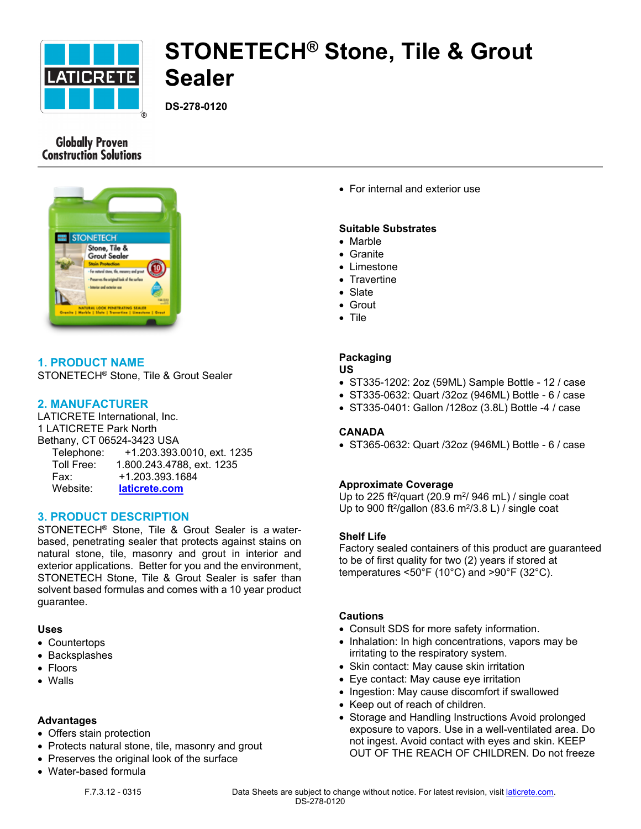

# **STONETECH® Stone, Tile & Grout Sealer**

**DS-278-0120**

# **Globally Proven Construction Solutions**



# **1. PRODUCT NAME**

STONETECH® Stone, Tile & Grout Sealer

# **2. MANUFACTURER**

LATICRETE International, Inc. 1 LATICRETE Park North Bethany, CT 06524-3423 USA Telephone: +1.203.393.0010, ext. 1235 Toll Free: 1.800.243.4788, ext. 1235 Fax: +1.203.393.1684 Website: **[laticrete.com](https://laticrete.com/)**

# **3. PRODUCT DESCRIPTION**

STONETECH® Stone, Tile & Grout Sealer is a waterbased, penetrating sealer that protects against stains on natural stone, tile, masonry and grout in interior and exterior applications. Better for you and the environment, STONETECH Stone, Tile & Grout Sealer is safer than solvent based formulas and comes with a 10 year product guarantee.

#### **Uses**

- Countertops
- Backsplashes
- Floors
- Walls

# **Advantages**

- Offers stain protection
- Protects natural stone, tile, masonry and grout
- Preserves the original look of the surface
- Water-based formula
	-

For internal and exterior use

#### **Suitable Substrates**

- Marble
- Granite
- Limestone
- Travertine
- Slate
- Grout
- Tile

# **Packaging**

#### **US**

- ST335-1202: 2oz (59ML) Sample Bottle 12 / case
- ST335-0632: Quart /32oz (946ML) Bottle 6 / case
- ST335-0401: Gallon /128oz (3.8L) Bottle -4 / case

#### **CANADA**

ST365-0632: Quart /32oz (946ML) Bottle - 6 / case

# **Approximate Coverage**

Up to 225 ft<sup>2</sup>/quart (20.9 m<sup>2</sup>/ 946 mL) / single coat Up to 900 ft<sup>2</sup>/gallon (83.6 m<sup>2</sup>/3.8 L) / single coat

#### **Shelf Life**

Factory sealed containers of this product are guaranteed to be of first quality for two (2) years if stored at temperatures <50°F (10°C) and >90°F (32°C).

#### **Cautions**

- Consult SDS for more safety information.
- Inhalation: In high concentrations, vapors may be irritating to the respiratory system.
- Skin contact: May cause skin irritation
- Eye contact: May cause eye irritation
- Ingestion: May cause discomfort if swallowed
- Keep out of reach of children.
- Storage and Handling Instructions Avoid prolonged exposure to vapors. Use in a well-ventilated area. Do not ingest. Avoid contact with eyes and skin. KEEP OUT OF THE REACH OF CHILDREN. Do not freeze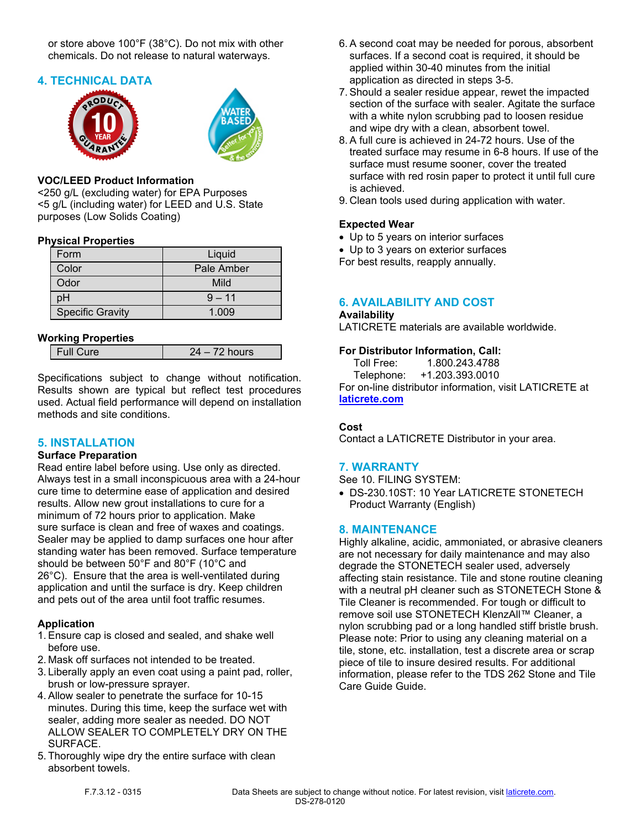or store above 100°F (38°C). Do not mix with other chemicals. Do not release to natural waterways.

# **4. TECHNICAL DATA**



## **VOC/LEED Product Information**

<250 g/L (excluding water) for EPA Purposes <5 g/L (including water) for LEED and U.S. State purposes (Low Solids Coating)

#### **Physical Properties**

| Form                    | Liquid     |
|-------------------------|------------|
| Color                   | Pale Amber |
| Odor                    | Mild       |
| pH                      | $9 - 11$   |
| <b>Specific Gravity</b> | 1.009      |

### **Working Properties**

| ull Cure | hours |
|----------|-------|

Specifications subject to change without notification. Results shown are typical but reflect test procedures used. Actual field performance will depend on installation methods and site conditions.

# **5. INSTALLATION**

## **Surface Preparation**

Read entire label before using. Use only as directed. Always test in a small inconspicuous area with a 24-hour cure time to determine ease of application and desired results. Allow new grout installations to cure for a minimum of 72 hours prior to application. Make sure surface is clean and free of waxes and coatings. Sealer may be applied to damp surfaces one hour after standing water has been removed. Surface temperature should be between 50°F and 80°F (10°C and 26°C). Ensure that the area is well-ventilated during application and until the surface is dry. Keep children and pets out of the area until foot traffic resumes.

#### **Application**

- 1. Ensure cap is closed and sealed, and shake well before use.
- 2. Mask off surfaces not intended to be treated.
- 3. Liberally apply an even coat using a paint pad, roller, brush or low-pressure sprayer.
- 4. Allow sealer to penetrate the surface for 10-15 minutes. During this time, keep the surface wet with sealer, adding more sealer as needed. DO NOT ALLOW SEALER TO COMPLETELY DRY ON THE SURFACE.
- 5. Thoroughly wipe dry the entire surface with clean absorbent towels.
- 6. A second coat may be needed for porous, absorbent surfaces. If a second coat is required, it should be applied within 30-40 minutes from the initial application as directed in steps 3-5.
- 7. Should a sealer residue appear, rewet the impacted section of the surface with sealer. Agitate the surface with a white nylon scrubbing pad to loosen residue and wipe dry with a clean, absorbent towel.
- 8. A full cure is achieved in 24-72 hours. Use of the treated surface may resume in 6-8 hours. If use of the surface must resume sooner, cover the treated surface with red rosin paper to protect it until full cure is achieved.
- 9. Clean tools used during application with water.

### **Expected Wear**

- Up to 5 years on interior surfaces
- Up to 3 years on exterior surfaces

For best results, reapply annually.

# **6. AVAILABILITY AND COST**

#### **Availability**

LATICRETE materials are available worldwide.

### **For Distributor Information, Call:**

Toll Free: 1.800.243.4788

Telephone: +1.203.393.0010

For on-line distributor information, visit LATICRETE at **[laticrete.com](https://laticrete.com/)**

#### **Cost**

Contact a LATICRETE Distributor in your area.

# **7. WARRANTY**

See 10. FILING SYSTEM:

 DS-230.10ST: 10 Year LATICRETE STONETECH Product Warranty (English)

#### **8. MAINTENANCE**

Highly alkaline, acidic, ammoniated, or abrasive cleaners are not necessary for daily maintenance and may also degrade the STONETECH sealer used, adversely affecting stain resistance. Tile and stone routine cleaning with a neutral pH cleaner such as STONETECH Stone & Tile Cleaner is recommended. For tough or difficult to remove soil use STONETECH KlenzAll™ Cleaner, a nylon scrubbing pad or a long handled stiff bristle brush. Please note: Prior to using any cleaning material on a tile, stone, etc. installation, test a discrete area or scrap piece of tile to insure desired results. For additional information, please refer to the TDS 262 Stone and Tile Care Guide Guide.